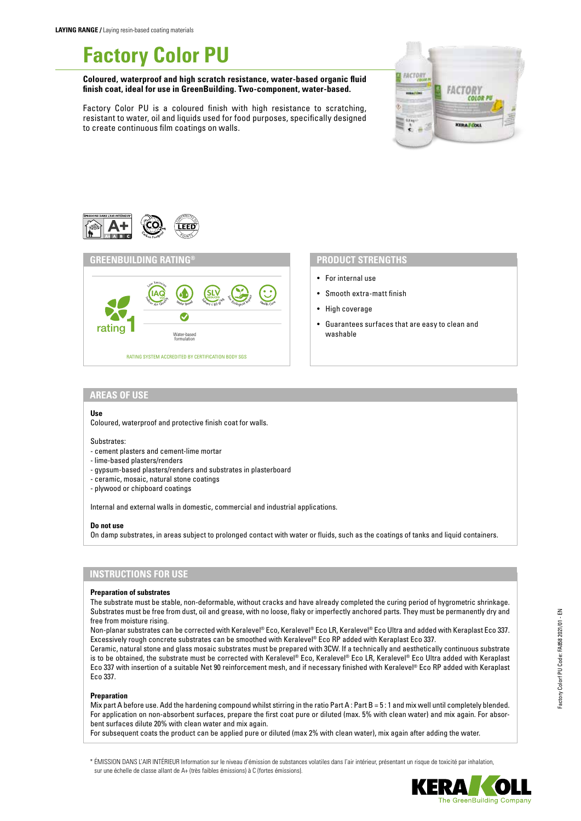# **Factory Color PU**

**Coloured, waterproof and high scratch resistance, water-based organic fluid finish coat, ideal for use in GreenBuilding. Two-component, water-based.**

Factory Color PU is a coloured finish with high resistance to scratching, resistant to water, oil and liquids used for food purposes, specifically designed to create continuous film coatings on walls.





## **PRODUCT STRENGTHS**

- For internal use
- Smooth extra-matt finish
- High coverage
- Guarantees surfaces that are easy to clean and washable

## **AREAS OF USE**

#### **Use**

Coloured, waterproof and protective finish coat for walls.

#### Substrates:

- cement plasters and cement-lime mortar
- lime-based plasters/renders
- gypsum-based plasters/renders and substrates in plasterboard
- ceramic, mosaic, natural stone coatings
- plywood or chipboard coatings

Internal and external walls in domestic, commercial and industrial applications.

#### **Do not use**

On damp substrates, in areas subject to prolonged contact with water or fluids, such as the coatings of tanks and liquid containers.

## **INSTRUCTIONS FOR USE**

#### **Preparation of substrates**

The substrate must be stable, non-deformable, without cracks and have already completed the curing period of hygrometric shrinkage. Substrates must be free from dust, oil and grease, with no loose, flaky or imperfectly anchored parts. They must be permanently dry and free from moisture rising.

Non-planar substrates can be corrected with Keralevel® Eco, Keralevel® Eco LR, Keralevel® Eco Ultra and added with Keraplast Eco 337. Excessively rough concrete substrates can be smoothed with Keralevel® Eco RP added with Keraplast Eco 337.

Ceramic, natural stone and glass mosaic substrates must be prepared with 3CW. If a technically and aesthetically continuous substrate is to be obtained, the substrate must be corrected with Keralevel® Eco, Keralevel® Eco LR, Keralevel® Eco Ultra added with Keraplast Eco 337 with insertion of a suitable Net 90 reinforcement mesh, and if necessary finished with Keralevel® Eco RP added with Keraplast Eco 337.

#### **Preparation**

Mix part A before use. Add the hardening compound whilst stirring in the ratio Part A : Part B = 5 : 1 and mix well until completely blended. For application on non-absorbent surfaces, prepare the first coat pure or diluted (max. 5% with clean water) and mix again. For absorbent surfaces dilute 20% with clean water and mix again.

For subsequent coats the product can be applied pure or diluted (max 2% with clean water), mix again after adding the water.

\* ÉMISSION DANS L'AIR INTÉRIEUR Information sur le niveau d'émission de substances volatiles dans l'air intérieur, présentant un risque de toxicité par inhalation, sur une échelle de classe allant de A+ (très faibles émissions) à C (fortes émissions).

Factory Colorf PU Code: FA858 2021/01 - EN

Factory Colorf PU Code: FA858 2021/01 - EN

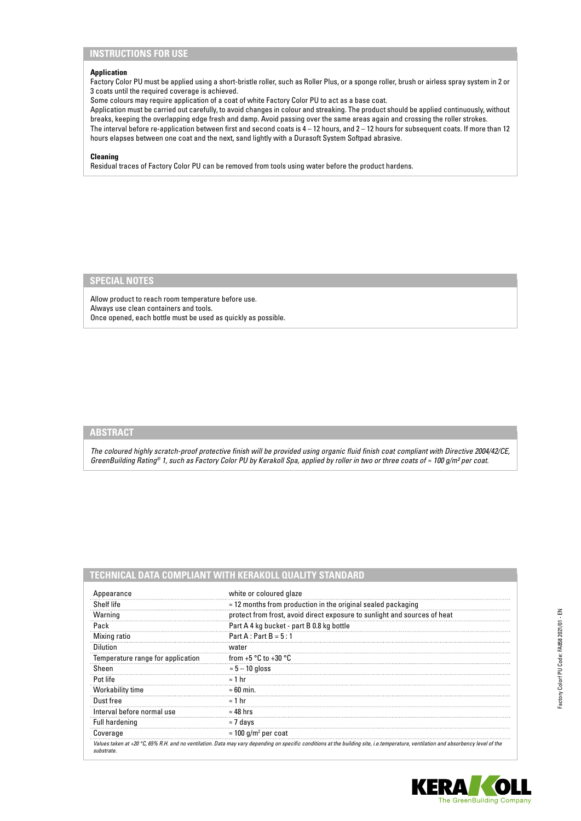# **INSTRUCTIONS FOR USE**

#### **Application**

Factory Color PU must be applied using a short-bristle roller, such as Roller Plus, or a sponge roller, brush or airless spray system in 2 or 3 coats until the required coverage is achieved.

Some colours may require application of a coat of white Factory Color PU to act as a base coat.

Application must be carried out carefully, to avoid changes in colour and streaking. The product should be applied continuously, without breaks, keeping the overlapping edge fresh and damp. Avoid passing over the same areas again and crossing the roller strokes. The interval before re-application between first and second coats is 4 – 12 hours, and 2 – 12 hours for subsequent coats. If more than 12 hours elapses between one coat and the next, sand lightly with a Durasoft System Softpad abrasive.

### **Cleaning**

Residual traces of Factory Color PU can be removed from tools using water before the product hardens.

# **SPECIAL NOTES**

Allow product to reach room temperature before use. Always use clean containers and tools. Once opened, each bottle must be used as quickly as possible.

# **ABSTRACT**

*The coloured highly scratch-proof protective finish will be provided using organic fluid finish coat compliant with Directive 2004/42/CE, GreenBuilding Rating® 1, such as Factory Color PU by Kerakoll Spa, applied by roller in two or three coats of ≈ 100 g/m² per coat.*

# **TECHNICAL DATA COMPLIANT WITH KERAKOLL QUALITY STANDARD**

| Appearance                        | white or coloured glaze                                                                                                                                                                     |
|-----------------------------------|---------------------------------------------------------------------------------------------------------------------------------------------------------------------------------------------|
| Shelf life                        | $\approx$ 12 months from production in the original sealed packaging                                                                                                                        |
| Warning                           | protect from frost, avoid direct exposure to sunlight and sources of heat                                                                                                                   |
| Pack                              | Part A 4 kg bucket - part B 0.8 kg bottle                                                                                                                                                   |
| Mixing ratio                      | $Part A: Part B = 5:1$                                                                                                                                                                      |
| Dilution                          | water                                                                                                                                                                                       |
| Temperature range for application | from +5 $\degree$ C to +30 $\degree$ C                                                                                                                                                      |
| Sheen                             | $\approx$ 5 – 10 gloss                                                                                                                                                                      |
| Pot life                          | $\approx$ 1 hr                                                                                                                                                                              |
| <b>Workability time</b>           | $\approx 60$ min.                                                                                                                                                                           |
| Dust free                         | $\approx$ 1 hr                                                                                                                                                                              |
| Interval before normal use        | $\approx 48$ hrs                                                                                                                                                                            |
| <b>Full hardening</b>             | ≈ 7 davs                                                                                                                                                                                    |
| Coverage                          | $\approx$ 100 g/m <sup>2</sup> per coat                                                                                                                                                     |
| substrate.                        | Values taken at +20 $\degree$ C, 65% R.H. and no ventilation. Data may vary depending on specific conditions at the building site, i.e.temperature, ventilation and absorbency level of the |